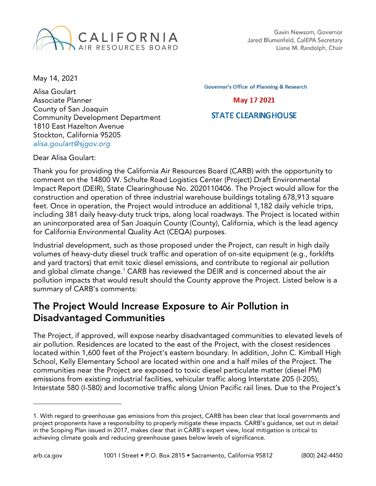

May 14, 2021

Alisa Goulart Associate Planner County of San Joaquin Community Development Department 1810 East Hazelton Avenue Stockton, California 95205 *[alisa.goulart@sjgov.org](mailto:alisa.goulart@sjgov.org)*

**Governor's Office of Planning & Research** 

**May 17 2021** 

#### **STATE CLEARING HOUSE**

Dear Alisa Goulart:

Thank you for providing the California Air Resources Board (CARB) with the opportunity to comment on the 14800 W. Schulte Road Logistics Center (Project) Draft Environmental Impact Report (DEIR), State Clearinghouse No. 2020110406. The Project would allow for the construction and operation of three industrial warehouse buildings totaling 678,913 square feet. Once in operation, the Project would introduce an additional 1,182 daily vehicle trips, including 381 daily heavy-duty truck trips, along local roadways. The Project is located within an unincorporated area of San Joaquin County (County), California, which is the lead agency for California Environmental Quality Act (CEQA) purposes.

Industrial development, such as those proposed under the Project, can result in high daily volumes of heavy-duty diesel truck traffic and operation of on-site equipment (e.g., forklifts and yard tractors) that emit toxic diesel emissions, and contribute to regional air pollution and global climate change.<sup>[1](#page-0-0)</sup> CARB has reviewed the DEIR and is concerned about the air pollution impacts that would result should the County approve the Project. Listed below is a summary of CARB's comments:

#### The Project Would Increase Exposure to Air Pollution in Disadvantaged Communities

The Project, if approved, will expose nearby disadvantaged communities to elevated levels of air pollution. Residences are located to the east of the Project, with the closest residences located within 1,600 feet of the Project's eastern boundary. In addition, John C. Kimball High School, Kelly Elementary School are located within one and a half miles of the Project. The communities near the Project are exposed to toxic diesel particulate matter (diesel PM) emissions from existing industrial facilities, vehicular traffic along Interstate 205 (I-205), Interstate 580 (I-580) and locomotive traffic along Union Pacific rail lines. Due to the Project's

 $\overline{a}$ 

<span id="page-0-0"></span><sup>1.</sup> With regard to greenhouse gas emissions from this project, CARB has been clear that local governments and project proponents have a responsibility to properly mitigate these impacts. CARB's guidance, set out in detail in the Scoping Plan issued in 2017, makes clear that in CARB's expert view, local mitigation is critical to achieving climate goals and reducing greenhouse gases below levels of significance.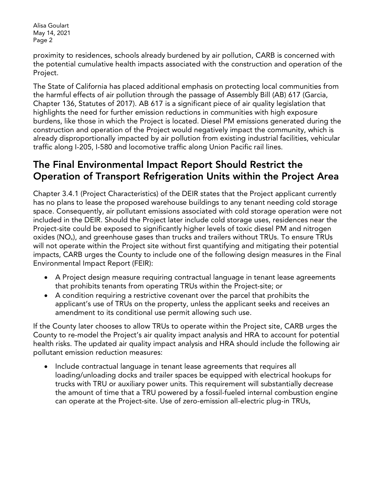proximity to residences, schools already burdened by air pollution, CARB is concerned with the potential cumulative health impacts associated with the construction and operation of the Project.

The State of California has placed additional emphasis on protecting local communities from the harmful effects of air pollution through the passage of Assembly Bill (AB) 617 (Garcia, Chapter 136, Statutes of 2017). AB 617 is a significant piece of air quality legislation that highlights the need for further emission reductions in communities with high exposure burdens, like those in which the Project is located. Diesel PM emissions generated during the construction and operation of the Project would negatively impact the community, which is already disproportionally impacted by air pollution from existing industrial facilities, vehicular traffic along I-205, I-580 and locomotive traffic along Union Pacific rail lines.

## The Final Environmental Impact Report Should Restrict the Operation of Transport Refrigeration Units within the Project Area

Chapter 3.4.1 (Project Characteristics) of the DEIR states that the Project applicant currently has no plans to lease the proposed warehouse buildings to any tenant needing cold storage space. Consequently, air pollutant emissions associated with cold storage operation were not included in the DEIR. Should the Project later include cold storage uses, residences near the Project-site could be exposed to significantly higher levels of toxic diesel PM and nitrogen oxides (NO<sub>x</sub>), and greenhouse gases than trucks and trailers without TRUs. To ensure TRUs will not operate within the Project site without first quantifying and mitigating their potential impacts, CARB urges the County to include one of the following design measures in the Final Environmental Impact Report (FEIR):

- A Project design measure requiring contractual language in tenant lease agreements that prohibits tenants from operating TRUs within the Project-site; or
- A condition requiring a restrictive covenant over the parcel that prohibits the applicant's use of TRUs on the property, unless the applicant seeks and receives an amendment to its conditional use permit allowing such use.

If the County later chooses to allow TRUs to operate within the Project site, CARB urges the County to re-model the Project's air quality impact analysis and HRA to account for potential health risks. The updated air quality impact analysis and HRA should include the following air pollutant emission reduction measures:

• Include contractual language in tenant lease agreements that requires all loading/unloading docks and trailer spaces be equipped with electrical hookups for trucks with TRU or auxiliary power units. This requirement will substantially decrease the amount of time that a TRU powered by a fossil-fueled internal combustion engine can operate at the Project-site. Use of zero-emission all-electric plug-in TRUs,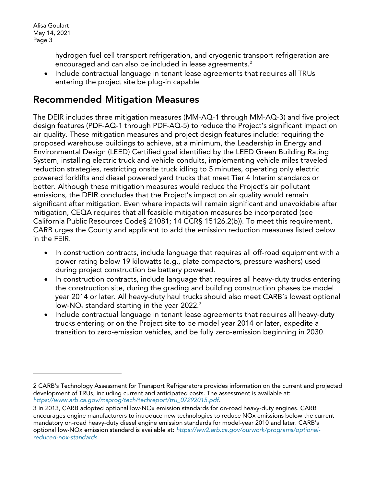$\overline{a}$ 

hydrogen fuel cell transport refrigeration, and cryogenic transport refrigeration are encouraged and can also be included in lease agreements.<sup>[2](#page-2-0)</sup>

• Include contractual language in tenant lease agreements that requires all TRUs entering the project site be plug-in capable

## Recommended Mitigation Measures

The DEIR includes three mitigation measures (MM-AQ-1 through MM-AQ-3) and five project design features (PDF-AQ-1 through PDF-AQ-5) to reduce the Project's significant impact on air quality. These mitigation measures and project design features include: requiring the proposed warehouse buildings to achieve, at a minimum, the Leadership in Energy and Environmental Design (LEED) Certified goal identified by the LEED Green Building Rating System, installing electric truck and vehicle conduits, implementing vehicle miles traveled reduction strategies, restricting onsite truck idling to 5 minutes, operating only electric powered forklifts and diesel powered yard trucks that meet Tier 4 Interim standards or better. Although these mitigation measures would reduce the Project's air pollutant emissions, the DEIR concludes that the Project's impact on air quality would remain significant after mitigation. Even where impacts will remain significant and unavoidable after mitigation, CEQA requires that all feasible mitigation measures be incorporated (see California Public Resources Code§ 21081; 14 CCR§ 15126.2(b)). To meet this requirement, CARB urges the County and applicant to add the emission reduction measures listed below in the FEIR.

- In construction contracts, include language that requires all off-road equipment with a power rating below 19 kilowatts (e.g., plate compactors, pressure washers) used during project construction be battery powered.
- In construction contracts, include language that requires all heavy-duty trucks entering the construction site, during the grading and building construction phases be model year 2014 or later. All heavy-duty haul trucks should also meet CARB's lowest optional low-NO<sub>x</sub> standard starting in the year 2022.<sup>3</sup>
- Include contractual language in tenant lease agreements that requires all heavy-duty trucks entering or on the Project site to be model year 2014 or later, expedite a transition to zero-emission vehicles, and be fully zero-emission beginning in 2030.

<span id="page-2-0"></span><sup>2</sup> CARB's Technology Assessment for Transport Refrigerators provides information on the current and projected development of TRUs, including current and anticipated costs. The assessment is available at: *[https://www.arb.ca.gov/msprog/tech/techreport/tru\\_07292015.pdf](https://www.arb.ca.gov/msprog/tech/techreport/tru_07292015.pdf)*.

<span id="page-2-1"></span><sup>3</sup> In 2013, CARB adopted optional low-NOx emission standards for on-road heavy-duty engines. CARB encourages engine manufacturers to introduce new technologies to reduce NOx emissions below the current mandatory on-road heavy-duty diesel engine emission standards for model-year 2010 and later. CARB's optional low-NOx emission standard is available at: *[https://ww2.arb.ca.gov/ourwork/programs/optional](https://ww2.arb.ca.gov/ourwork/programs/optional-reduced-nox-standards)[reduced-nox-standards](https://ww2.arb.ca.gov/ourwork/programs/optional-reduced-nox-standards)*.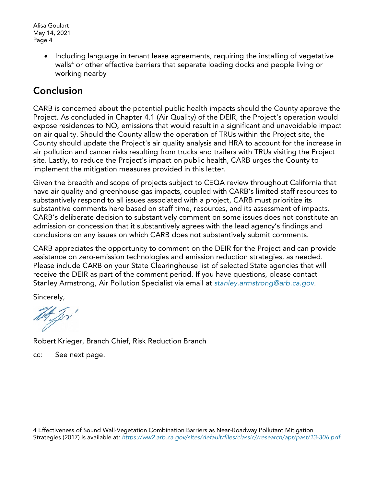> • Including language in tenant lease agreements, requiring the installing of vegetative walls<sup>[4](#page-3-0)</sup> or other effective barriers that separate loading docks and people living or working nearby

# Conclusion

CARB is concerned about the potential public health impacts should the County approve the Project. As concluded in Chapter 4.1 (Air Quality) of the DEIR, the Project's operation would expose residences to  $NO<sub>x</sub>$  emissions that would result in a significant and unavoidable impact on air quality. Should the County allow the operation of TRUs within the Project site, the County should update the Project's air quality analysis and HRA to account for the increase in air pollution and cancer risks resulting from trucks and trailers with TRUs visiting the Project site. Lastly, to reduce the Project's impact on public health, CARB urges the County to implement the mitigation measures provided in this letter.

Given the breadth and scope of projects subject to CEQA review throughout California that have air quality and greenhouse gas impacts, coupled with CARB's limited staff resources to substantively respond to all issues associated with a project, CARB must prioritize its substantive comments here based on staff time, resources, and its assessment of impacts. CARB's deliberate decision to substantively comment on some issues does not constitute an admission or concession that it substantively agrees with the lead agency's findings and conclusions on any issues on which CARB does not substantively submit comments.

CARB appreciates the opportunity to comment on the DEIR for the Project and can provide assistance on zero-emission technologies and emission reduction strategies, as needed. Please include CARB on your State Clearinghouse list of selected State agencies that will receive the DEIR as part of the comment period. If you have questions, please contact Stanley Armstrong, Air Pollution Specialist via email at *[stanley.armstrong@arb.ca.gov](mailto:stanley.armstrong@arb.ca.gov)*.

Sincerely,

 $\overline{a}$ 

tet Jr'

Robert Krieger, Branch Chief, Risk Reduction Branch

cc: See next page.

<span id="page-3-0"></span><sup>4</sup> Effectiveness of Sound Wall-Vegetation Combination Barriers as Near-Roadway Pollutant Mitigation Strategies (2017) is available at: *[https://ww2.arb.ca.gov/sites/default/files/classic//research/apr/past/13-306.pdf](https://ww2.arb.ca.gov/sites/default/files/classic/research/apr/past/13-306.pdf)*.